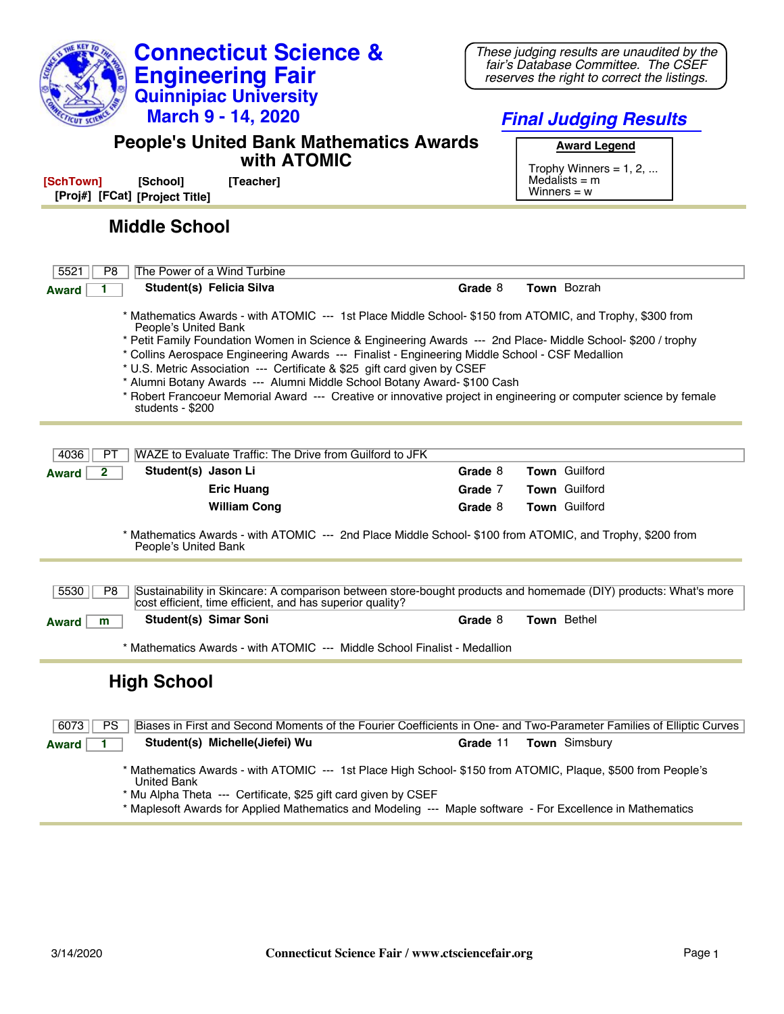